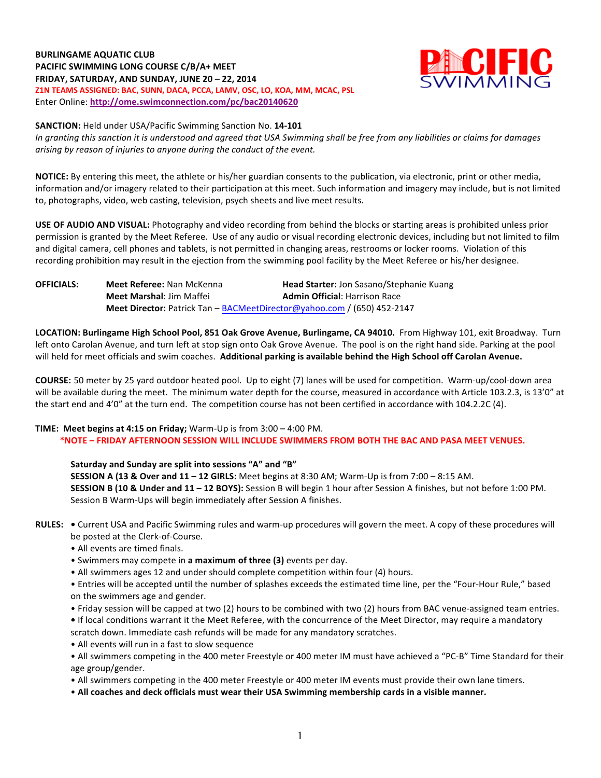## **BURLINGAME AQUATIC CLUB PACIFIC SWIMMING LONG COURSE C/B/A+ MEET FRIDAY, SATURDAY, AND SUNDAY, JUNE 20 - 22, 2014 Z1N TEAMS ASSIGNED: BAC, SUNN, DACA, PCCA, LAMV, OSC, LO, KOA, MM, MCAC, PSL** Enter Online: http://ome.swimconnection.com/pc/bac20140620



## **SANCTION:** Held under USA/Pacific Swimming Sanction No. 14-101

In granting this sanction it is understood and agreed that USA Swimming shall be free from any liabilities or claims for damages arising by reason of injuries to anyone during the conduct of the event.

NOTICE: By entering this meet, the athlete or his/her guardian consents to the publication, via electronic, print or other media, information and/or imagery related to their participation at this meet. Such information and imagery may include, but is not limited to, photographs, video, web casting, television, psych sheets and live meet results.

**USE OF AUDIO AND VISUAL:** Photography and video recording from behind the blocks or starting areas is prohibited unless prior permission is granted by the Meet Referee. Use of any audio or visual recording electronic devices, including but not limited to film and digital camera, cell phones and tablets, is not permitted in changing areas, restrooms or locker rooms. Violation of this recording prohibition may result in the ejection from the swimming pool facility by the Meet Referee or his/her designee.

| OFFICIALS: | <b>Meet Referee: Nan McKenna</b>                                               | <b>Head Starter: Jon Sasano/Stephanie Kuang</b> |  |  |  |  |
|------------|--------------------------------------------------------------------------------|-------------------------------------------------|--|--|--|--|
|            | <b>Meet Marshal: Jim Maffei</b>                                                | <b>Admin Official: Harrison Race</b>            |  |  |  |  |
|            | <b>Meet Director:</b> Patrick Tan – BACMeetDirector@yahoo.com / (650) 452-2147 |                                                 |  |  |  |  |

LOCATION: Burlingame High School Pool, 851 Oak Grove Avenue, Burlingame, CA 94010. From Highway 101, exit Broadway. Turn left onto Carolan Avenue, and turn left at stop sign onto Oak Grove Avenue. The pool is on the right hand side. Parking at the pool will held for meet officials and swim coaches. Additional parking is available behind the High School off Carolan Avenue.

**COURSE:** 50 meter by 25 yard outdoor heated pool. Up to eight (7) lanes will be used for competition. Warm-up/cool-down area will be available during the meet. The minimum water depth for the course, measured in accordance with Article 103.2.3, is 13'0" at the start end and  $4'0''$  at the turn end. The competition course has not been certified in accordance with 104.2.2C (4).

# **TIME:** Meet begins at 4:15 on Friday; Warm-Up is from 3:00 – 4:00 PM.

**\*NOTE – FRIDAY AFTERNOON SESSION WILL INCLUDE SWIMMERS FROM BOTH THE BAC AND PASA MEET VENUES.** 

Saturday and Sunday are split into sessions "A" and "B" **SESSION A (13 & Over and 11 – 12 GIRLS:** Meet begins at 8:30 AM; Warm-Up is from 7:00 – 8:15 AM. **SESSION B (10 & Under and 11 - 12 BOYS):** Session B will begin 1 hour after Session A finishes, but not before 1:00 PM. Session B Warm-Ups will begin immediately after Session A finishes.

# RULES: . Current USA and Pacific Swimming rules and warm-up procedures will govern the meet. A copy of these procedures will be posted at the Clerk-of-Course.

- All events are timed finals.
- Swimmers may compete in a maximum of three (3) events per day.
- All swimmers ages 12 and under should complete competition within four (4) hours.
- Entries will be accepted until the number of splashes exceeds the estimated time line, per the "Four-Hour Rule," based on the swimmers age and gender.
- Friday session will be capped at two (2) hours to be combined with two (2) hours from BAC venue-assigned team entries.
- If local conditions warrant it the Meet Referee, with the concurrence of the Meet Director, may require a mandatory scratch down. Immediate cash refunds will be made for any mandatory scratches.
- All events will run in a fast to slow sequence

• All swimmers competing in the 400 meter Freestyle or 400 meter IM must have achieved a "PC-B" Time Standard for their age group/gender.

- All swimmers competing in the 400 meter Freestyle or 400 meter IM events must provide their own lane timers.
- All coaches and deck officials must wear their USA Swimming membership cards in a visible manner.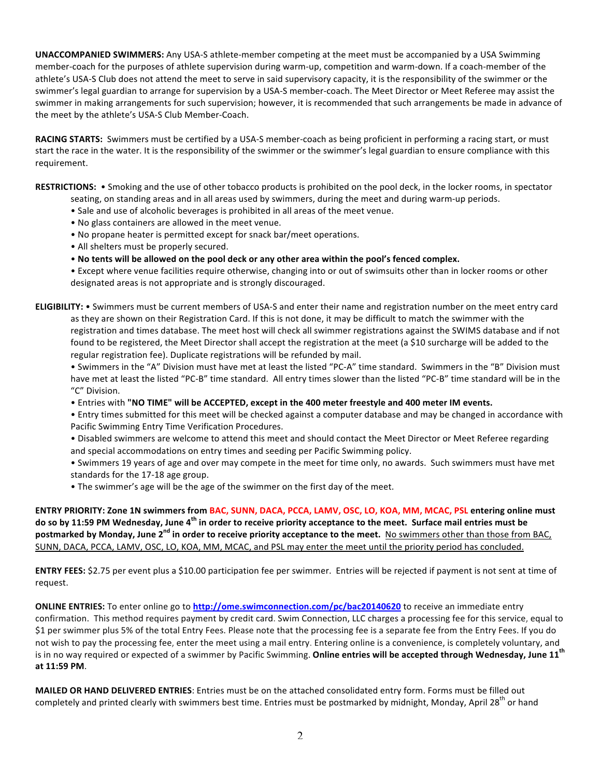**UNACCOMPANIED SWIMMERS:** Any USA-S athlete-member competing at the meet must be accompanied by a USA Swimming member-coach for the purposes of athlete supervision during warm-up, competition and warm-down. If a coach-member of the athlete's USA-S Club does not attend the meet to serve in said supervisory capacity, it is the responsibility of the swimmer or the swimmer's legal guardian to arrange for supervision by a USA-S member-coach. The Meet Director or Meet Referee may assist the swimmer in making arrangements for such supervision; however, it is recommended that such arrangements be made in advance of the meet by the athlete's USA-S Club Member-Coach.

RACING STARTS: Swimmers must be certified by a USA-S member-coach as being proficient in performing a racing start, or must start the race in the water. It is the responsibility of the swimmer or the swimmer's legal guardian to ensure compliance with this requirement.

**RESTRICTIONS:** • Smoking and the use of other tobacco products is prohibited on the pool deck, in the locker rooms, in spectator seating, on standing areas and in all areas used by swimmers, during the meet and during warm-up periods.

- Sale and use of alcoholic beverages is prohibited in all areas of the meet venue.
- No glass containers are allowed in the meet venue.
- No propane heater is permitted except for snack bar/meet operations.
- All shelters must be properly secured.
- No tents will be allowed on the pool deck or any other area within the pool's fenced complex.

• Except where venue facilities require otherwise, changing into or out of swimsuits other than in locker rooms or other designated areas is not appropriate and is strongly discouraged.

**ELIGIBILITY:** • Swimmers must be current members of USA-S and enter their name and registration number on the meet entry card as they are shown on their Registration Card. If this is not done, it may be difficult to match the swimmer with the registration and times database. The meet host will check all swimmer registrations against the SWIMS database and if not found to be registered, the Meet Director shall accept the registration at the meet (a \$10 surcharge will be added to the regular registration fee). Duplicate registrations will be refunded by mail.

• Swimmers in the "A" Division must have met at least the listed "PC-A" time standard. Swimmers in the "B" Division must have met at least the listed "PC-B" time standard. All entry times slower than the listed "PC-B" time standard will be in the "C" Division. 

• Entries with "NO TIME" will be ACCEPTED, except in the 400 meter freestyle and 400 meter IM events.

• Entry times submitted for this meet will be checked against a computer database and may be changed in accordance with Pacific Swimming Entry Time Verification Procedures.

- Disabled swimmers are welcome to attend this meet and should contact the Meet Director or Meet Referee regarding and special accommodations on entry times and seeding per Pacific Swimming policy.
- Swimmers 19 years of age and over may compete in the meet for time only, no awards. Such swimmers must have met standards for the 17-18 age group.
- The swimmer's age will be the age of the swimmer on the first day of the meet.

ENTRY PRIORITY: Zone 1N swimmers from BAC, SUNN, DACA, PCCA, LAMV, OSC, LO, KOA, MM, MCAC, PSL entering online must do so by 11:59 PM Wednesday, June 4<sup>th</sup> in order to receive priority acceptance to the meet. Surface mail entries must be postmarked by Monday, June 2<sup>nd</sup> in order to receive priority acceptance to the meet. No swimmers other than those from BAC, SUNN, DACA, PCCA, LAMV, OSC, LO, KOA, MM, MCAC, and PSL may enter the meet until the priority period has concluded.

**ENTRY FEES:** \$2.75 per event plus a \$10.00 participation fee per swimmer. Entries will be rejected if payment is not sent at time of request.

**ONLINE ENTRIES:** To enter online go to **http://ome.swimconnection.com/pc/bac20140620** to receive an immediate entry confirmation. This method requires payment by credit card. Swim Connection, LLC charges a processing fee for this service, equal to \$1 per swimmer plus 5% of the total Entry Fees. Please note that the processing fee is a separate fee from the Entry Fees. If you do not wish to pay the processing fee, enter the meet using a mail entry. Entering online is a convenience, is completely voluntary, and is in no way required or expected of a swimmer by Pacific Swimming. Online entries will be accepted through Wednesday, June 11<sup>th</sup> **at 11:59 PM**.

MAILED OR HAND DELIVERED ENTRIES: Entries must be on the attached consolidated entry form. Forms must be filled out completely and printed clearly with swimmers best time. Entries must be postmarked by midnight, Monday, April 28<sup>th</sup> or hand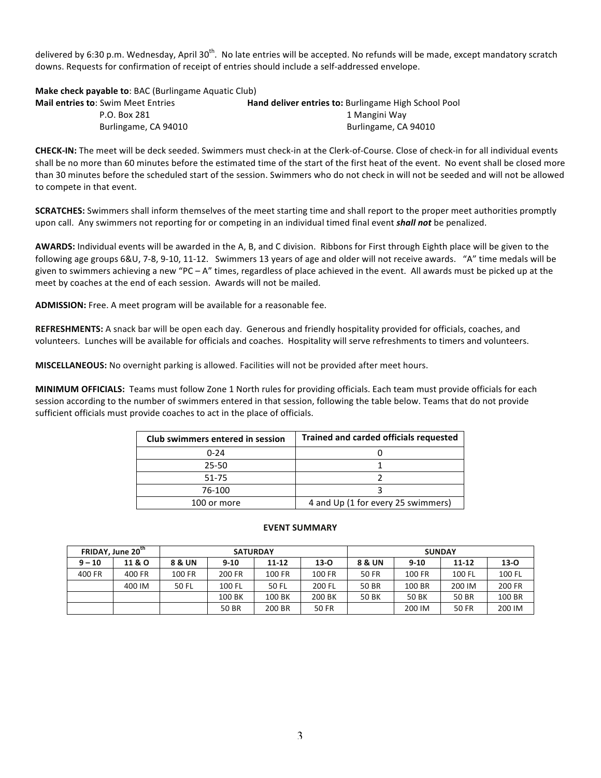delivered by 6:30 p.m. Wednesday, April 30<sup>th</sup>. No late entries will be accepted. No refunds will be made, except mandatory scratch downs. Requests for confirmation of receipt of entries should include a self-addressed envelope.

| <b>Make check payable to: BAC (Burlingame Aquatic Club)</b> |                                                             |  |  |  |  |  |  |  |
|-------------------------------------------------------------|-------------------------------------------------------------|--|--|--|--|--|--|--|
| <b>Mail entries to: Swim Meet Entries</b>                   | <b>Hand deliver entries to: Burlingame High School Pool</b> |  |  |  |  |  |  |  |
| P.O. Box 281                                                | 1 Mangini Wav                                               |  |  |  |  |  |  |  |
| Burlingame, CA 94010                                        | Burlingame, CA 94010                                        |  |  |  |  |  |  |  |

**CHECK-IN:** The meet will be deck seeded. Swimmers must check-in at the Clerk-of-Course. Close of check-in for all individual events shall be no more than 60 minutes before the estimated time of the start of the first heat of the event. No event shall be closed more than 30 minutes before the scheduled start of the session. Swimmers who do not check in will not be seeded and will not be allowed to compete in that event.

**SCRATCHES:** Swimmers shall inform themselves of the meet starting time and shall report to the proper meet authorities promptly upon call. Any swimmers not reporting for or competing in an individual timed final event **shall not** be penalized.

AWARDS: Individual events will be awarded in the A, B, and C division. Ribbons for First through Eighth place will be given to the following age groups 6&U, 7-8, 9-10, 11-12. Swimmers 13 years of age and older will not receive awards. "A" time medals will be given to swimmers achieving a new "PC – A" times, regardless of place achieved in the event. All awards must be picked up at the meet by coaches at the end of each session. Awards will not be mailed.

**ADMISSION:** Free. A meet program will be available for a reasonable fee.

**REFRESHMENTS:** A snack bar will be open each day. Generous and friendly hospitality provided for officials, coaches, and volunteers. Lunches will be available for officials and coaches. Hospitality will serve refreshments to timers and volunteers.

**MISCELLANEOUS:** No overnight parking is allowed. Facilities will not be provided after meet hours.

MINIMUM OFFICIALS: Teams must follow Zone 1 North rules for providing officials. Each team must provide officials for each session according to the number of swimmers entered in that session, following the table below. Teams that do not provide sufficient officials must provide coaches to act in the place of officials.

| Club swimmers entered in session | Trained and carded officials requested |  |  |  |  |  |
|----------------------------------|----------------------------------------|--|--|--|--|--|
| $0 - 24$                         |                                        |  |  |  |  |  |
| $25 - 50$                        |                                        |  |  |  |  |  |
| 51-75                            |                                        |  |  |  |  |  |
| 76-100                           |                                        |  |  |  |  |  |
| 100 or more                      | 4 and Up (1 for every 25 swimmers)     |  |  |  |  |  |

#### **EVENT SUMMARY**

|          | FRIDAY, June 20 <sup>th</sup> |        | <b>SATURDAY</b> |           |              | <b>SUNDAY</b> |          |           |          |  |
|----------|-------------------------------|--------|-----------------|-----------|--------------|---------------|----------|-----------|----------|--|
| $9 - 10$ | 11 & O                        | 8 & UN | $9-10$          | $11 - 12$ | $13 - 0$     | 8 & UN        | $9 - 10$ | $11 - 12$ | $13 - 0$ |  |
| 400 FR   | 400 FR                        | 100 FR | 200 FR          | 100 FR    | 100 FR       | 50 FR         | 100 FR   | 100 FL    | 100 FL   |  |
|          | 400 IM                        | 50 FL  | 100 FL          | 50 FL     | 200 FL       | 50 BR         | 100 BR   | 200 IM    | 200 FR   |  |
|          |                               |        | 100 BK          | 100 BK    | 200 BK       | 50 BK         | 50 BK    | 50 BR     | 100 BR   |  |
|          |                               |        | 50 BR           | 200 BR    | <b>50 FR</b> |               | 200 IM   | 50 FR     | 200 IM   |  |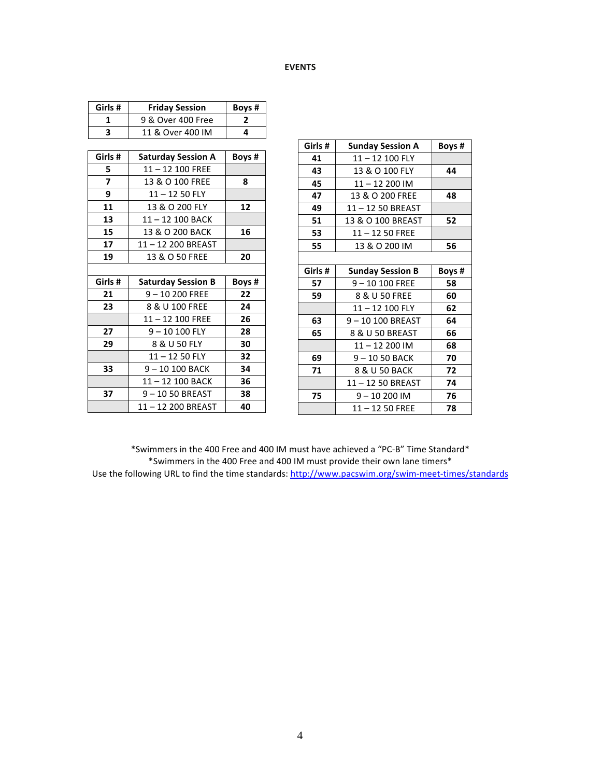#### **EVENTS**

| Girls#         | <b>Friday Session</b>     | Boys # |
|----------------|---------------------------|--------|
| 1              | 9 & Over 400 Free         | 2      |
| 3              | 11 & Over 400 IM          | 4      |
|                |                           |        |
| Girls #        | <b>Saturday Session A</b> | Boys#  |
| 5              | $11 - 12$ 100 FREE        |        |
| $\overline{7}$ | 13 & O 100 FREE           | 8      |
| 9              | 11-1250 FLY               |        |
| 11             | 13 & O 200 FLY            | 12     |
| 13             | 11-12 100 BACK            |        |
| 15             | 13 & O 200 BACK           | 16     |
| 17             | 11-12 200 BREAST          |        |
| 19             | 13 & O 50 FREE            | 20     |
|                |                           |        |
| Girls#         | <b>Saturday Session B</b> | Boys # |
| 21             | $9 - 10200$ FREE          | 22     |
| 23             | 8 & U 100 FREE            | 24     |
|                | 11-12 100 FREE            | 26     |
| 27             | $9 - 10100$ FLY           | 28     |
| 29             | 8 & U 50 FLY              | 30     |
|                | $11 - 1250$ FLY           | 32     |
| 33             | $9 - 10100$ BACK          | 34     |
|                | 11-12 100 BACK            | 36     |
| 37             | 9-1050 BREAST             | 38     |
|                | 11-12 200 BREAST          | 40     |

| Girls # | <b>Sunday Session A</b> | Boys # |
|---------|-------------------------|--------|
| 41      | $11 - 12$ 100 FLY       |        |
| 43      | 13 & O 100 FLY          | 44     |
| 45      | 11-12 200 IM            |        |
| 47      | 13 & O 200 FREE         | 48     |
| 49      | 11-12 50 BREAST         |        |
| 51      | 13 & O 100 BREAST       | 52     |
| 53      | 11-1250 FREE            |        |
| 55      | 13 & O 200 IM           | 56     |
|         |                         |        |
| Girls#  | <b>Sunday Session B</b> | Boys # |
| 57      | 9-10 100 FREE           | 58     |
| 59      | 8 & U 50 FREE           | 60     |
|         | 11-12 100 FLY           | 62     |
| 63      | 9-10 100 BREAST         | 64     |
| 65      | 8 & U 50 BREAST         | 66     |
|         | $11 - 12200$ IM         | 68     |
| 69      | 9-1050 BACK             | 70     |
| 71      | 8 & U 50 BACK           | 72     |
|         | 11-12 50 BREAST         | 74     |
| 75      | 9-10 200 IM             | 76     |
|         | 11-1250 FREE            | 78     |

\*Swimmers in the 400 Free and 400 IM must have achieved a "PC-B" Time Standard\* \*Swimmers in the 400 Free and 400 IM must provide their own lane timers\* Use the following URL to find the time standards: http://www.pacswim.org/swim-meet-times/standards